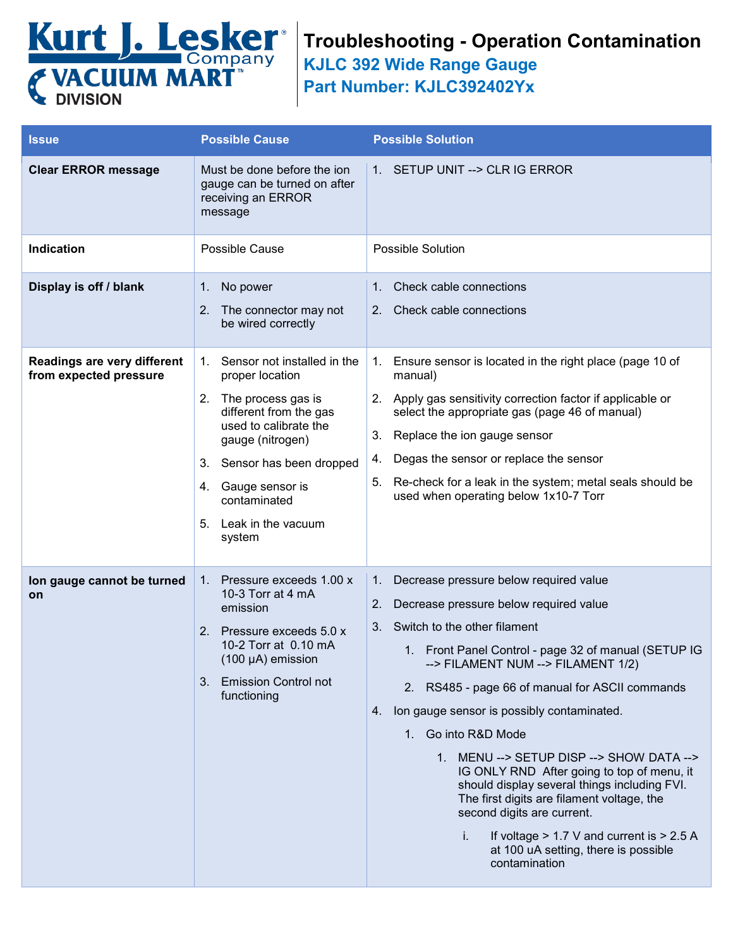

## **Troubleshooting - Operation Contamination**

**KJLC 392 Wide Range Gauge**

**Part Number: KJLC392402Yx**

| <b>Issue</b>                                          | <b>Possible Cause</b>                                                                                                                                                                                                                                                | <b>Possible Solution</b>                                                                                                                                                                                                                                                                                                                                                                                                                                                                                                                                                                                                                                                                             |
|-------------------------------------------------------|----------------------------------------------------------------------------------------------------------------------------------------------------------------------------------------------------------------------------------------------------------------------|------------------------------------------------------------------------------------------------------------------------------------------------------------------------------------------------------------------------------------------------------------------------------------------------------------------------------------------------------------------------------------------------------------------------------------------------------------------------------------------------------------------------------------------------------------------------------------------------------------------------------------------------------------------------------------------------------|
| <b>Clear ERROR message</b>                            | Must be done before the jon<br>gauge can be turned on after<br>receiving an ERROR<br>message                                                                                                                                                                         | 1. SETUP UNIT --> CLR IG ERROR                                                                                                                                                                                                                                                                                                                                                                                                                                                                                                                                                                                                                                                                       |
| Indication                                            | Possible Cause                                                                                                                                                                                                                                                       | <b>Possible Solution</b>                                                                                                                                                                                                                                                                                                                                                                                                                                                                                                                                                                                                                                                                             |
| Display is off / blank                                | 1. No power<br>The connector may not<br>2.<br>be wired correctly                                                                                                                                                                                                     | Check cable connections<br>$1_{-}$<br>2. Check cable connections                                                                                                                                                                                                                                                                                                                                                                                                                                                                                                                                                                                                                                     |
| Readings are very different<br>from expected pressure | Sensor not installed in the<br>1.<br>proper location<br>2.<br>The process gas is<br>different from the gas<br>used to calibrate the<br>gauge (nitrogen)<br>3. Sensor has been dropped<br>Gauge sensor is<br>4.<br>contaminated<br>Leak in the vacuum<br>5.<br>system | 1. Ensure sensor is located in the right place (page 10 of<br>manual)<br>2. Apply gas sensitivity correction factor if applicable or<br>select the appropriate gas (page 46 of manual)<br>Replace the ion gauge sensor<br>3.<br>Degas the sensor or replace the sensor<br>4.<br>Re-check for a leak in the system; metal seals should be<br>5.<br>used when operating below 1x10-7 Torr                                                                                                                                                                                                                                                                                                              |
| lon gauge cannot be turned<br>on                      | 1. Pressure exceeds 1.00 x<br>10-3 Torr at 4 mA<br>emission<br>2. Pressure exceeds 5.0 x<br>10-2 Torr at 0.10 mA<br>$(100 \mu A)$ emission<br>3. Emission Control not<br>functioning                                                                                 | 1.<br>Decrease pressure below required value<br>Decrease pressure below required value<br>2.<br>3.<br>Switch to the other filament<br>1. Front Panel Control - page 32 of manual (SETUP IG<br>--> FILAMENT NUM --> FILAMENT 1/2)<br>2. RS485 - page 66 of manual for ASCII commands<br>Ion gauge sensor is possibly contaminated.<br>4.<br>1. Go into R&D Mode<br>1. MENU --> SETUP DISP --> SHOW DATA --><br>IG ONLY RND After going to top of menu, it<br>should display several things including FVI.<br>The first digits are filament voltage, the<br>second digits are current.<br>If voltage $> 1.7$ V and current is $> 2.5$ A<br>j.<br>at 100 uA setting, there is possible<br>contamination |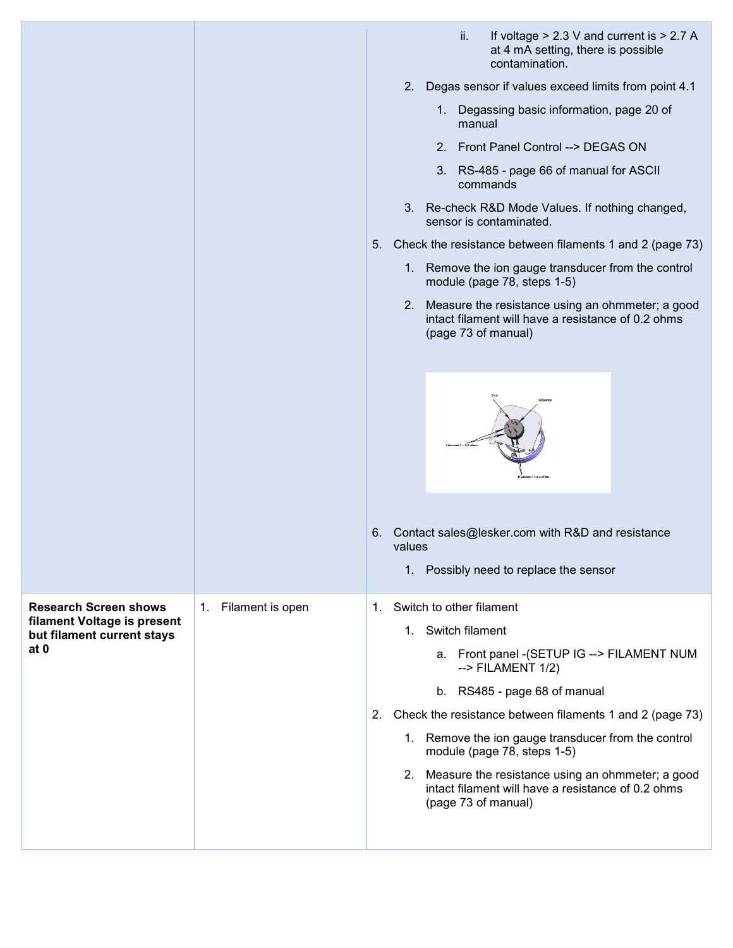|                                                                   |                     |    |                       | ii.                      | If voltage $> 2.3$ V and current is $> 2.7$ A<br>at 4 mA setting, there is possible<br>contamination.     |  |
|-------------------------------------------------------------------|---------------------|----|-----------------------|--------------------------|-----------------------------------------------------------------------------------------------------------|--|
|                                                                   |                     |    |                       |                          | 2. Degas sensor if values exceed limits from point 4.1                                                    |  |
|                                                                   |                     |    |                       | manual                   | 1. Degassing basic information, page 20 of                                                                |  |
|                                                                   |                     |    |                       |                          | 2. Front Panel Control --> DEGAS ON                                                                       |  |
|                                                                   |                     |    |                       |                          | 3. RS-485 - page 66 of manual for ASCII<br>commands                                                       |  |
|                                                                   |                     |    |                       |                          | 3. Re-check R&D Mode Values. If nothing changed,<br>sensor is contaminated.                               |  |
|                                                                   |                     | 5. |                       |                          | Check the resistance between filaments 1 and 2 (page 73)                                                  |  |
|                                                                   |                     |    |                       |                          | 1. Remove the ion gauge transducer from the control<br>module (page 78, steps 1-5)                        |  |
|                                                                   |                     |    | 2.                    | (page 73 of manual)      | Measure the resistance using an ohmmeter; a good<br>intact filament will have a resistance of 0.2 ohms    |  |
|                                                                   |                     |    |                       |                          |                                                                                                           |  |
|                                                                   |                     |    |                       |                          |                                                                                                           |  |
|                                                                   |                     | 6. | values<br>$1_{\cdot}$ |                          | Contact sales@lesker.com with R&D and resistance<br>Possibly need to replace the sensor                   |  |
| <b>Research Screen shows</b>                                      | 1. Filament is open | 1. |                       | Switch to other filament |                                                                                                           |  |
| filament Voltage is present<br>but filament current stays<br>at 0 |                     |    |                       | 1. Switch filament       |                                                                                                           |  |
|                                                                   |                     |    |                       |                          | a. Front panel - (SETUP IG --> FILAMENT NUM<br>$\rightarrow$ FILAMENT 1/2)                                |  |
|                                                                   |                     |    |                       |                          | b. RS485 - page 68 of manual                                                                              |  |
|                                                                   |                     | 2. |                       |                          | Check the resistance between filaments 1 and 2 (page 73)                                                  |  |
|                                                                   |                     |    |                       |                          | 1. Remove the ion gauge transducer from the control<br>module (page 78, steps 1-5)                        |  |
|                                                                   |                     |    |                       | (page 73 of manual)      | 2. Measure the resistance using an ohmmeter; a good<br>intact filament will have a resistance of 0.2 ohms |  |
|                                                                   |                     |    |                       |                          |                                                                                                           |  |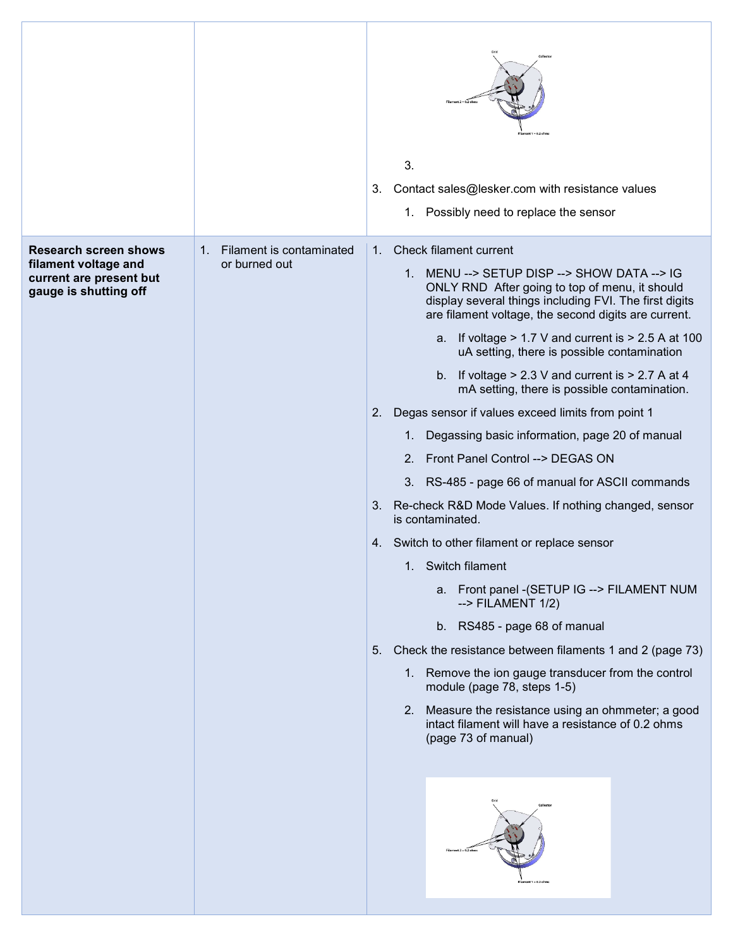|                                                                                                          |                                              | 3.<br>Contact sales@lesker.com with resistance values<br>3.<br>1. Possibly need to replace the sensor                                                                                                                                                                                                                                                                                                                                                                                                                                                                                                                                                                                                                                                                                                                                                                                                                                                                                                                                                                                                                                                                                                                                                    |
|----------------------------------------------------------------------------------------------------------|----------------------------------------------|----------------------------------------------------------------------------------------------------------------------------------------------------------------------------------------------------------------------------------------------------------------------------------------------------------------------------------------------------------------------------------------------------------------------------------------------------------------------------------------------------------------------------------------------------------------------------------------------------------------------------------------------------------------------------------------------------------------------------------------------------------------------------------------------------------------------------------------------------------------------------------------------------------------------------------------------------------------------------------------------------------------------------------------------------------------------------------------------------------------------------------------------------------------------------------------------------------------------------------------------------------|
| <b>Research screen shows</b><br>filament voltage and<br>current are present but<br>gauge is shutting off | 1. Filament is contaminated<br>or burned out | Check filament current<br>1.<br>1. MENU --> SETUP DISP --> SHOW DATA --> IG<br>ONLY RND After going to top of menu, it should<br>display several things including FVI. The first digits<br>are filament voltage, the second digits are current.<br>If voltage $> 1.7$ V and current is $> 2.5$ A at 100<br>a.<br>uA setting, there is possible contamination<br>If voltage $> 2.3$ V and current is $> 2.7$ A at 4<br>b.<br>mA setting, there is possible contamination.<br>Degas sensor if values exceed limits from point 1<br>2.<br>Degassing basic information, page 20 of manual<br>1.<br>Front Panel Control --> DEGAS ON<br>2.<br>3. RS-485 - page 66 of manual for ASCII commands<br>3. Re-check R&D Mode Values. If nothing changed, sensor<br>is contaminated.<br>4. Switch to other filament or replace sensor<br>1. Switch filament<br>a. Front panel - (SETUP IG --> FILAMENT NUM<br>$\leftarrow$ FILAMENT 1/2)<br>b. RS485 - page 68 of manual<br>Check the resistance between filaments 1 and 2 (page 73)<br>5.<br>1. Remove the ion gauge transducer from the control<br>module (page 78, steps 1-5)<br>2. Measure the resistance using an ohmmeter; a good<br>intact filament will have a resistance of 0.2 ohms<br>(page 73 of manual) |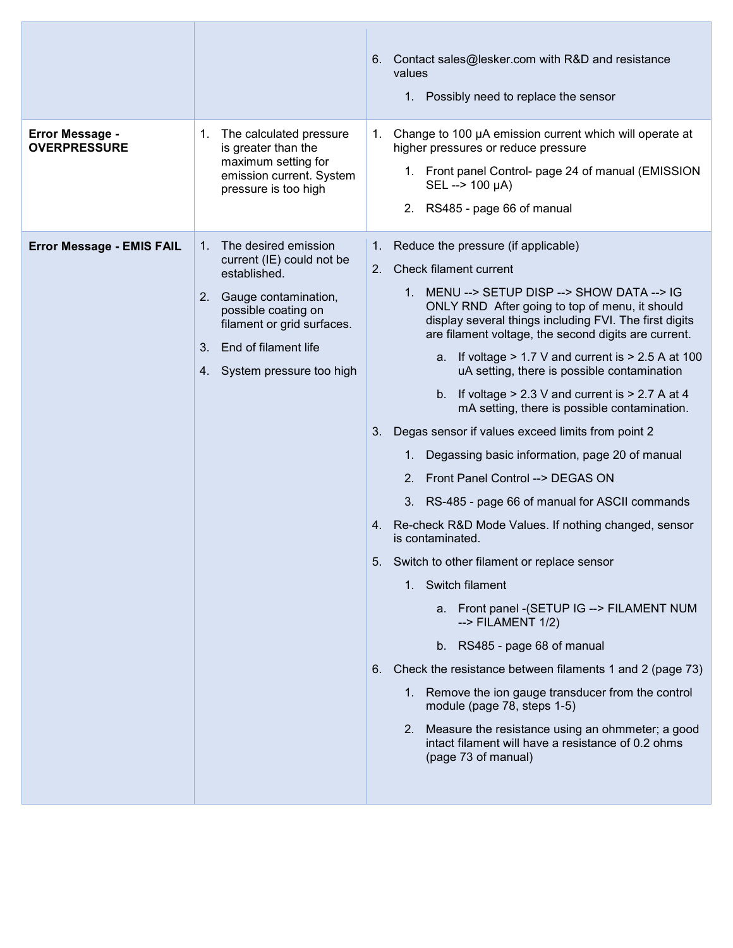| <b>Error Message -</b><br><b>OVERPRESSURE</b> | The calculated pressure<br>1.<br>is greater than the<br>maximum setting for<br>emission current. System<br>pressure is too high                                                                                         | Contact sales@lesker.com with R&D and resistance<br>6.<br>values<br>1. Possibly need to replace the sensor<br>1. Change to 100 µA emission current which will operate at<br>higher pressures or reduce pressure<br>1. Front panel Control- page 24 of manual (EMISSION<br>SEL --> 100 µA)<br>2. RS485 - page 66 of manual                                                                                                                                                                                                                                                                                                                                                                                                                                                                                                                                                                                                                                                                                                                                                                                                                                                                                                                                                                                                |
|-----------------------------------------------|-------------------------------------------------------------------------------------------------------------------------------------------------------------------------------------------------------------------------|--------------------------------------------------------------------------------------------------------------------------------------------------------------------------------------------------------------------------------------------------------------------------------------------------------------------------------------------------------------------------------------------------------------------------------------------------------------------------------------------------------------------------------------------------------------------------------------------------------------------------------------------------------------------------------------------------------------------------------------------------------------------------------------------------------------------------------------------------------------------------------------------------------------------------------------------------------------------------------------------------------------------------------------------------------------------------------------------------------------------------------------------------------------------------------------------------------------------------------------------------------------------------------------------------------------------------|
| <b>Error Message - EMIS FAIL</b>              | The desired emission<br>1.<br>current (IE) could not be<br>established.<br>Gauge contamination,<br>2.<br>possible coating on<br>filament or grid surfaces.<br>End of filament life<br>3.<br>4. System pressure too high | Reduce the pressure (if applicable)<br>$1_{\cdot}$<br><b>Check filament current</b><br>2.<br>1. MENU --> SETUP DISP --> SHOW DATA --> IG<br>ONLY RND After going to top of menu, it should<br>display several things including FVI. The first digits<br>are filament voltage, the second digits are current.<br>a. If voltage $> 1.7$ V and current is $> 2.5$ A at 100<br>uA setting, there is possible contamination<br>b. If voltage $> 2.3$ V and current is $> 2.7$ A at 4<br>mA setting, there is possible contamination.<br>Degas sensor if values exceed limits from point 2<br>3.<br>Degassing basic information, page 20 of manual<br>$1_{\cdot}$<br>2. Front Panel Control --> DEGAS ON<br>3. RS-485 - page 66 of manual for ASCII commands<br>4. Re-check R&D Mode Values. If nothing changed, sensor<br>is contaminated.<br>5. Switch to other filament or replace sensor<br>1. Switch filament<br>a. Front panel - (SETUP IG --> FILAMENT NUM<br>$\leftarrow$ FILAMENT 1/2)<br>b. RS485 - page 68 of manual<br>Check the resistance between filaments 1 and 2 (page 73)<br>6.<br>Remove the ion gauge transducer from the control<br>1.<br>module (page 78, steps 1-5)<br>2. Measure the resistance using an ohmmeter; a good<br>intact filament will have a resistance of 0.2 ohms<br>(page 73 of manual) |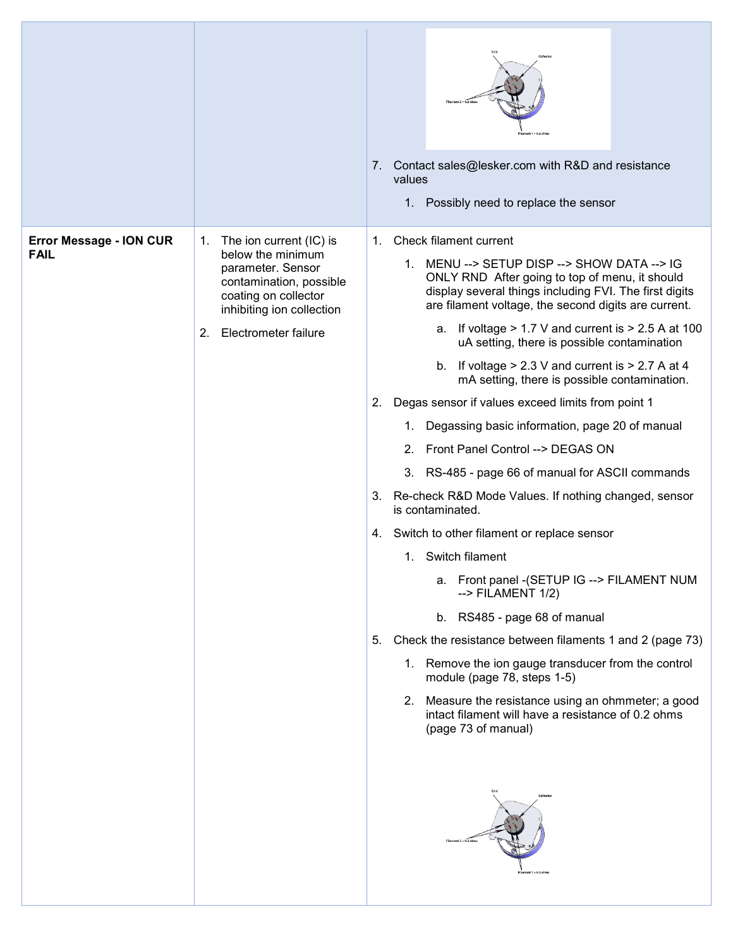|                                               |                                                                                                                                                                                       | Contact sales@lesker.com with R&D and resistance<br>7.<br>values<br>1. Possibly need to replace the sensor                                                                                                                                                                                                                                                                                                                                                                                                                                                                                                                                                                                                                                                                                                                                                                                                                                                                                                                                                                                                                                                                                                                                                |
|-----------------------------------------------|---------------------------------------------------------------------------------------------------------------------------------------------------------------------------------------|-----------------------------------------------------------------------------------------------------------------------------------------------------------------------------------------------------------------------------------------------------------------------------------------------------------------------------------------------------------------------------------------------------------------------------------------------------------------------------------------------------------------------------------------------------------------------------------------------------------------------------------------------------------------------------------------------------------------------------------------------------------------------------------------------------------------------------------------------------------------------------------------------------------------------------------------------------------------------------------------------------------------------------------------------------------------------------------------------------------------------------------------------------------------------------------------------------------------------------------------------------------|
| <b>Error Message - ION CUR</b><br><b>FAIL</b> | The ion current (IC) is<br>1.<br>below the minimum<br>parameter. Sensor<br>contamination, possible<br>coating on collector<br>inhibiting ion collection<br>Electrometer failure<br>2. | Check filament current<br>1.<br>1. MENU --> SETUP DISP --> SHOW DATA --> IG<br>ONLY RND After going to top of menu, it should<br>display several things including FVI. The first digits<br>are filament voltage, the second digits are current.<br>a. If voltage $> 1.7$ V and current is $> 2.5$ A at 100<br>uA setting, there is possible contamination<br>b. If voltage $> 2.3$ V and current is $> 2.7$ A at 4<br>mA setting, there is possible contamination.<br>Degas sensor if values exceed limits from point 1<br>2.<br>Degassing basic information, page 20 of manual<br>1.<br>Front Panel Control --> DEGAS ON<br>2.<br>3. RS-485 - page 66 of manual for ASCII commands<br>Re-check R&D Mode Values. If nothing changed, sensor<br>3.<br>is contaminated.<br>Switch to other filament or replace sensor<br>4.<br>1. Switch filament<br>a. Front panel - (SETUP IG --> FILAMENT NUM<br>$\rightarrow$ FILAMENT 1/2)<br>b. RS485 - page 68 of manual<br>Check the resistance between filaments 1 and 2 (page 73)<br>5.<br>1. Remove the ion gauge transducer from the control<br>module (page 78, steps 1-5)<br>2. Measure the resistance using an ohmmeter; a good<br>intact filament will have a resistance of 0.2 ohms<br>(page 73 of manual) |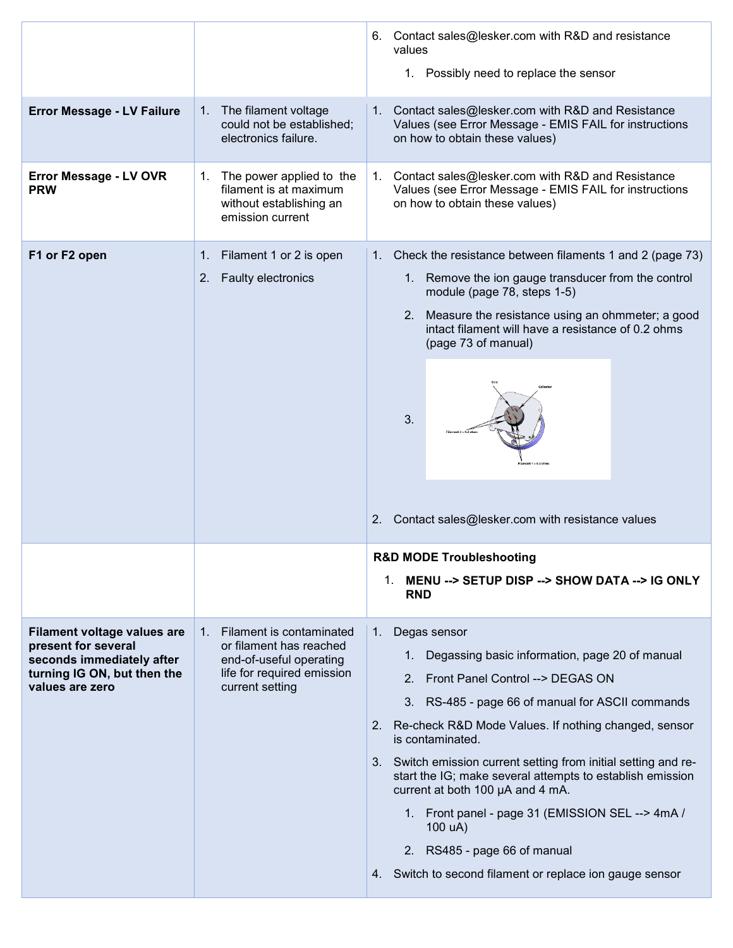|                                                                                                                                   |                                                                                                                                    | 6. Contact sales@lesker.com with R&D and resistance<br>values<br>1. Possibly need to replace the sensor                                                                                                                                                                                                                                                                                                                                                                                                                                                                                      |
|-----------------------------------------------------------------------------------------------------------------------------------|------------------------------------------------------------------------------------------------------------------------------------|----------------------------------------------------------------------------------------------------------------------------------------------------------------------------------------------------------------------------------------------------------------------------------------------------------------------------------------------------------------------------------------------------------------------------------------------------------------------------------------------------------------------------------------------------------------------------------------------|
| <b>Error Message - LV Failure</b>                                                                                                 | 1. The filament voltage<br>could not be established;<br>electronics failure.                                                       | 1. Contact sales@lesker.com with R&D and Resistance<br>Values (see Error Message - EMIS FAIL for instructions<br>on how to obtain these values)                                                                                                                                                                                                                                                                                                                                                                                                                                              |
| Error Message - LV OVR<br><b>PRW</b>                                                                                              | The power applied to the<br>1.<br>filament is at maximum<br>without establishing an<br>emission current                            | 1. Contact sales@lesker.com with R&D and Resistance<br>Values (see Error Message - EMIS FAIL for instructions<br>on how to obtain these values)                                                                                                                                                                                                                                                                                                                                                                                                                                              |
| F1 or F2 open                                                                                                                     | 1. Filament 1 or 2 is open<br><b>Faulty electronics</b><br>2.                                                                      | 1. Check the resistance between filaments 1 and 2 (page 73)<br>1. Remove the ion gauge transducer from the control<br>module (page 78, steps 1-5)<br>Measure the resistance using an ohmmeter; a good<br>2.<br>intact filament will have a resistance of 0.2 ohms<br>(page 73 of manual)<br>3.<br>Contact sales@lesker.com with resistance values<br>2.                                                                                                                                                                                                                                      |
|                                                                                                                                   |                                                                                                                                    | <b>R&amp;D MODE Troubleshooting</b><br>1. MENU --> SETUP DISP --> SHOW DATA --> IG ONLY<br><b>RND</b>                                                                                                                                                                                                                                                                                                                                                                                                                                                                                        |
| Filament voltage values are<br>present for several<br>seconds immediately after<br>turning IG ON, but then the<br>values are zero | 1. Filament is contaminated<br>or filament has reached<br>end-of-useful operating<br>life for required emission<br>current setting | Degas sensor<br>$1_{\cdot}$<br>Degassing basic information, page 20 of manual<br>Front Panel Control --> DEGAS ON<br>2.<br>3. RS-485 - page 66 of manual for ASCII commands<br>2. Re-check R&D Mode Values. If nothing changed, sensor<br>is contaminated.<br>3. Switch emission current setting from initial setting and re-<br>start the IG; make several attempts to establish emission<br>current at both 100 µA and 4 mA.<br>1. Front panel - page 31 (EMISSION SEL --> 4mA /<br>100 uA)<br>2. RS485 - page 66 of manual<br>Switch to second filament or replace ion gauge sensor<br>4. |